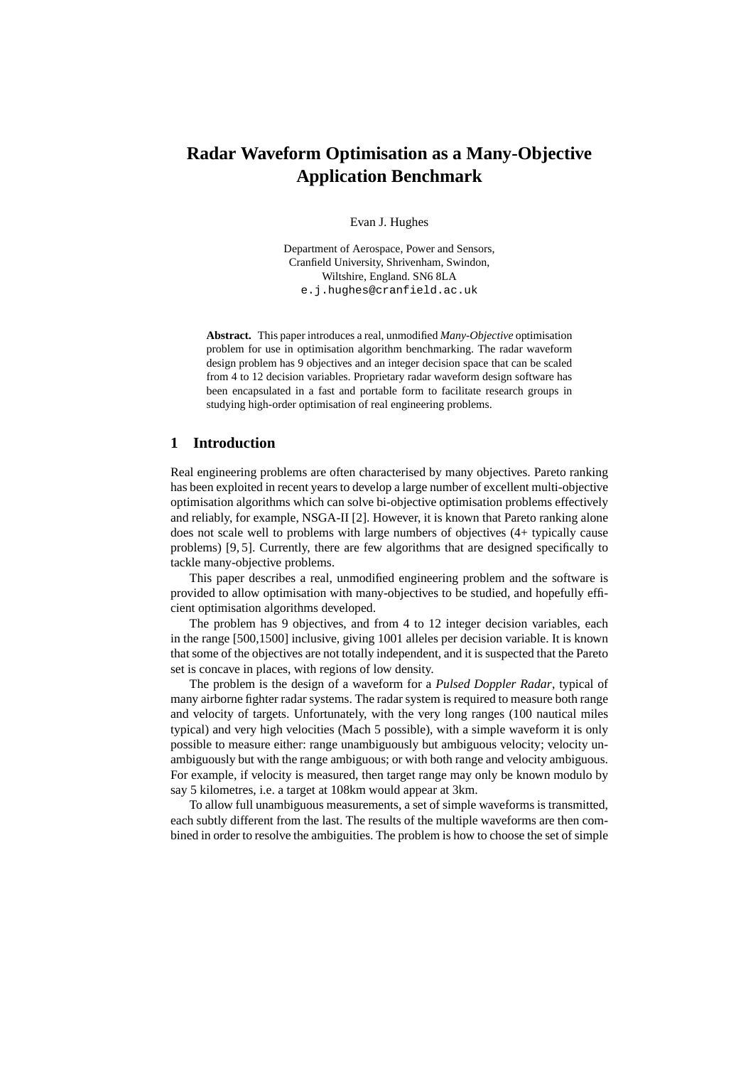# **Radar Waveform Optimisation as a Many-Objective Application Benchmark**

Evan J. Hughes

Department of Aerospace, Power and Sensors, Cranfield University, Shrivenham, Swindon, Wiltshire, England. SN6 8LA e.j.hughes@cranfield.ac.uk

**Abstract.** This paper introduces a real, unmodified *Many-Objective* optimisation problem for use in optimisation algorithm benchmarking. The radar waveform design problem has 9 objectives and an integer decision space that can be scaled from 4 to 12 decision variables. Proprietary radar waveform design software has been encapsulated in a fast and portable form to facilitate research groups in studying high-order optimisation of real engineering problems.

# **1 Introduction**

Real engineering problems are often characterised by many objectives. Pareto ranking has been exploited in recent years to develop a large number of excellent multi-objective optimisation algorithms which can solve bi-objective optimisation problems effectively and reliably, for example, NSGA-II [2]. However, it is known that Pareto ranking alone does not scale well to problems with large numbers of objectives (4+ typically cause problems) [9, 5]. Currently, there are few algorithms that are designed specifically to tackle many-objective problems.

This paper describes a real, unmodified engineering problem and the software is provided to allow optimisation with many-objectives to be studied, and hopefully efficient optimisation algorithms developed.

The problem has 9 objectives, and from 4 to 12 integer decision variables, each in the range [500,1500] inclusive, giving 1001 alleles per decision variable. It is known that some of the objectives are not totally independent, and it is suspected that the Pareto set is concave in places, with regions of low density.

The problem is the design of a waveform for a *Pulsed Doppler Radar*, typical of many airborne fighter radar systems. The radar system is required to measure both range and velocity of targets. Unfortunately, with the very long ranges (100 nautical miles typical) and very high velocities (Mach 5 possible), with a simple waveform it is only possible to measure either: range unambiguously but ambiguous velocity; velocity unambiguously but with the range ambiguous; or with both range and velocity ambiguous. For example, if velocity is measured, then target range may only be known modulo by say 5 kilometres, i.e. a target at 108km would appear at 3km.

To allow full unambiguous measurements, a set of simple waveforms is transmitted, each subtly different from the last. The results of the multiple waveforms are then combined in order to resolve the ambiguities. The problem is how to choose the set of simple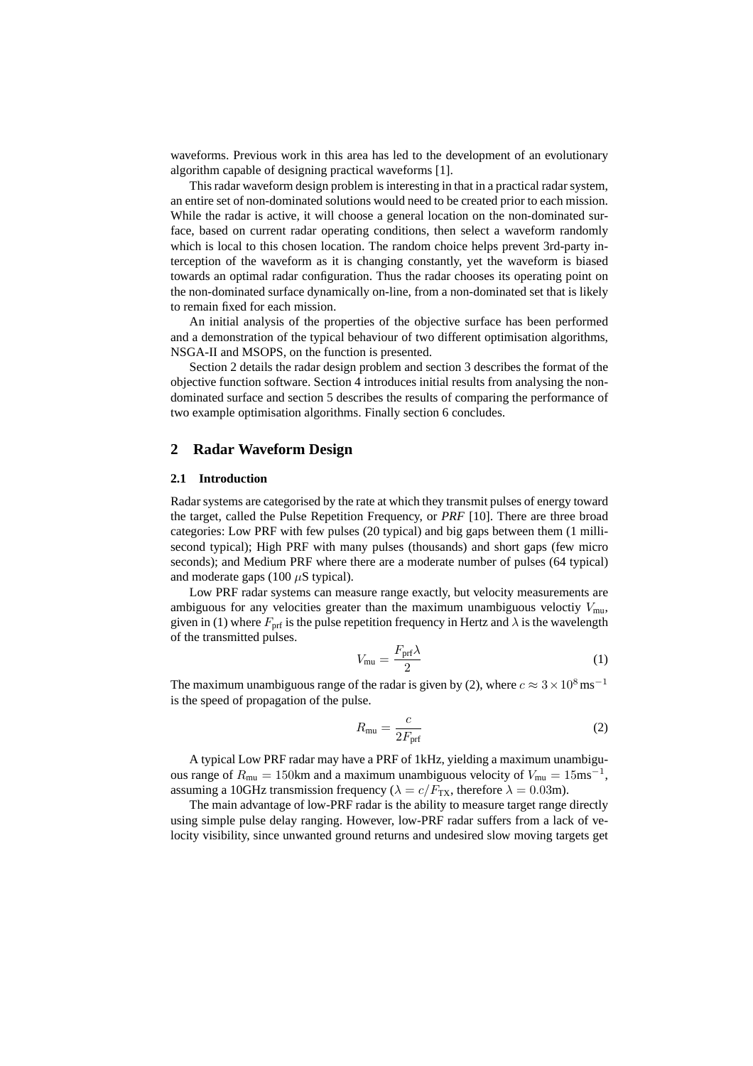waveforms. Previous work in this area has led to the development of an evolutionary algorithm capable of designing practical waveforms [1].

This radar waveform design problem is interesting in that in a practical radar system, an entire set of non-dominated solutions would need to be created prior to each mission. While the radar is active, it will choose a general location on the non-dominated surface, based on current radar operating conditions, then select a waveform randomly which is local to this chosen location. The random choice helps prevent 3rd-party interception of the waveform as it is changing constantly, yet the waveform is biased towards an optimal radar configuration. Thus the radar chooses its operating point on the non-dominated surface dynamically on-line, from a non-dominated set that is likely to remain fixed for each mission.

An initial analysis of the properties of the objective surface has been performed and a demonstration of the typical behaviour of two different optimisation algorithms, NSGA-II and MSOPS, on the function is presented.

Section 2 details the radar design problem and section 3 describes the format of the objective function software. Section 4 introduces initial results from analysing the nondominated surface and section 5 describes the results of comparing the performance of two example optimisation algorithms. Finally section 6 concludes.

## **2 Radar Waveform Design**

#### **2.1 Introduction**

Radar systems are categorised by the rate at which they transmit pulses of energy toward the target, called the Pulse Repetition Frequency, or *PRF* [10]. There are three broad categories: Low PRF with few pulses (20 typical) and big gaps between them (1 millisecond typical); High PRF with many pulses (thousands) and short gaps (few micro seconds); and Medium PRF where there are a moderate number of pulses (64 typical) and moderate gaps (100  $\mu$ S typical).

Low PRF radar systems can measure range exactly, but velocity measurements are ambiguous for any velocities greater than the maximum unambiguous veloctiv  $V_{\text{mu}}$ , given in (1) where  $F_{\text{prf}}$  is the pulse repetition frequency in Hertz and  $\lambda$  is the wavelength of the transmitted pulses.

$$
V_{\rm mu} = \frac{F_{\rm prf}\lambda}{2} \tag{1}
$$

The maximum unambiguous range of the radar is given by (2), where  $c \approx 3 \times 10^8 \text{ ms}^{-1}$ is the speed of propagation of the pulse.

$$
R_{\rm mu} = \frac{c}{2F_{\rm prf}}\tag{2}
$$

A typical Low PRF radar may have a PRF of 1kHz, yielding a maximum unambiguous range of  $R_{\text{mu}} = 150 \text{km}$  and a maximum unambiguous velocity of  $V_{\text{mu}} = 15 \text{ms}^{-1}$ , assuming a 10GHz transmission frequency ( $\lambda = c/F_{\text{TX}}$ , therefore  $\lambda = 0.03$ m).

The main advantage of low-PRF radar is the ability to measure target range directly using simple pulse delay ranging. However, low-PRF radar suffers from a lack of velocity visibility, since unwanted ground returns and undesired slow moving targets get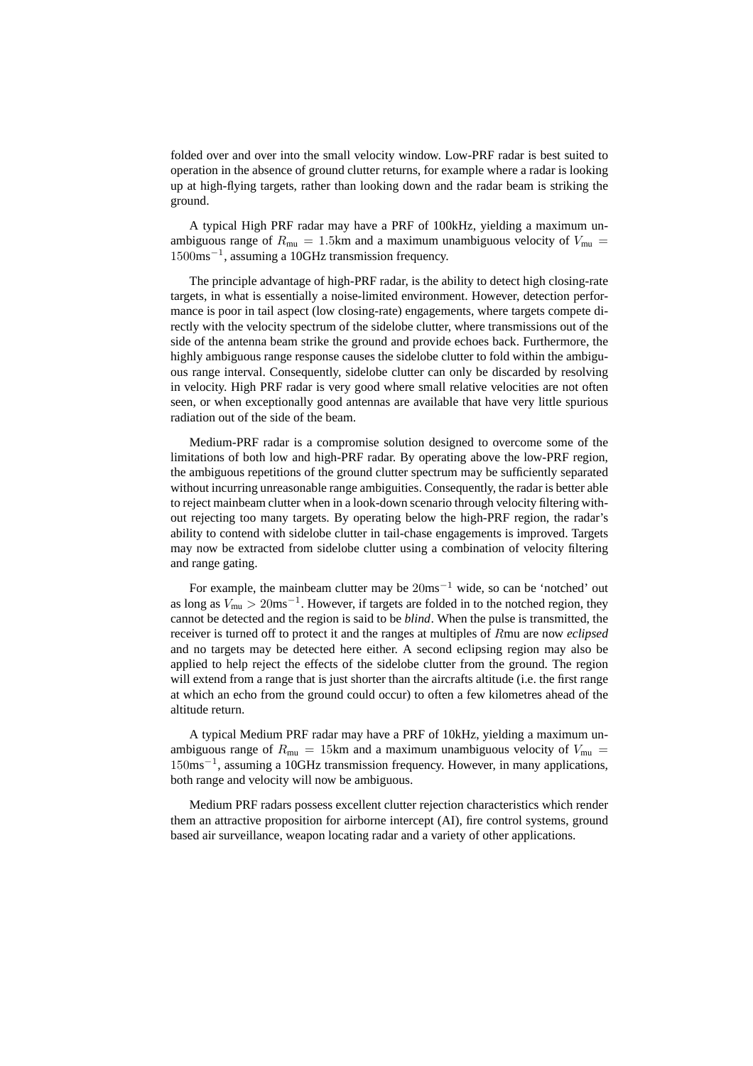folded over and over into the small velocity window. Low-PRF radar is best suited to operation in the absence of ground clutter returns, for example where a radar is looking up at high-flying targets, rather than looking down and the radar beam is striking the ground.

A typical High PRF radar may have a PRF of 100kHz, yielding a maximum unambiguous range of  $R_{\text{mu}} = 1.5$ km and a maximum unambiguous velocity of  $V_{\text{mu}} =$ 1500ms<sup>−</sup><sup>1</sup> , assuming a 10GHz transmission frequency.

The principle advantage of high-PRF radar, is the ability to detect high closing-rate targets, in what is essentially a noise-limited environment. However, detection performance is poor in tail aspect (low closing-rate) engagements, where targets compete directly with the velocity spectrum of the sidelobe clutter, where transmissions out of the side of the antenna beam strike the ground and provide echoes back. Furthermore, the highly ambiguous range response causes the sidelobe clutter to fold within the ambiguous range interval. Consequently, sidelobe clutter can only be discarded by resolving in velocity. High PRF radar is very good where small relative velocities are not often seen, or when exceptionally good antennas are available that have very little spurious radiation out of the side of the beam.

Medium-PRF radar is a compromise solution designed to overcome some of the limitations of both low and high-PRF radar. By operating above the low-PRF region, the ambiguous repetitions of the ground clutter spectrum may be sufficiently separated without incurring unreasonable range ambiguities. Consequently, the radar is better able to reject mainbeam clutter when in a look-down scenario through velocity filtering without rejecting too many targets. By operating below the high-PRF region, the radar's ability to contend with sidelobe clutter in tail-chase engagements is improved. Targets may now be extracted from sidelobe clutter using a combination of velocity filtering and range gating.

For example, the mainbeam clutter may be 20ms<sup>−</sup><sup>1</sup> wide, so can be 'notched' out as long as  $V_{\text{mu}} > 20 \text{ms}^{-1}$ . However, if targets are folded in to the notched region, they cannot be detected and the region is said to be *blind*. When the pulse is transmitted, the receiver is turned off to protect it and the ranges at multiples of Rmu are now *eclipsed* and no targets may be detected here either. A second eclipsing region may also be applied to help reject the effects of the sidelobe clutter from the ground. The region will extend from a range that is just shorter than the aircrafts altitude (i.e. the first range at which an echo from the ground could occur) to often a few kilometres ahead of the altitude return.

A typical Medium PRF radar may have a PRF of 10kHz, yielding a maximum unambiguous range of  $R_{\text{mu}} = 15 \text{km}$  and a maximum unambiguous velocity of  $V_{\text{mu}} =$ 150ms<sup>−</sup><sup>1</sup> , assuming a 10GHz transmission frequency. However, in many applications, both range and velocity will now be ambiguous.

Medium PRF radars possess excellent clutter rejection characteristics which render them an attractive proposition for airborne intercept (AI), fire control systems, ground based air surveillance, weapon locating radar and a variety of other applications.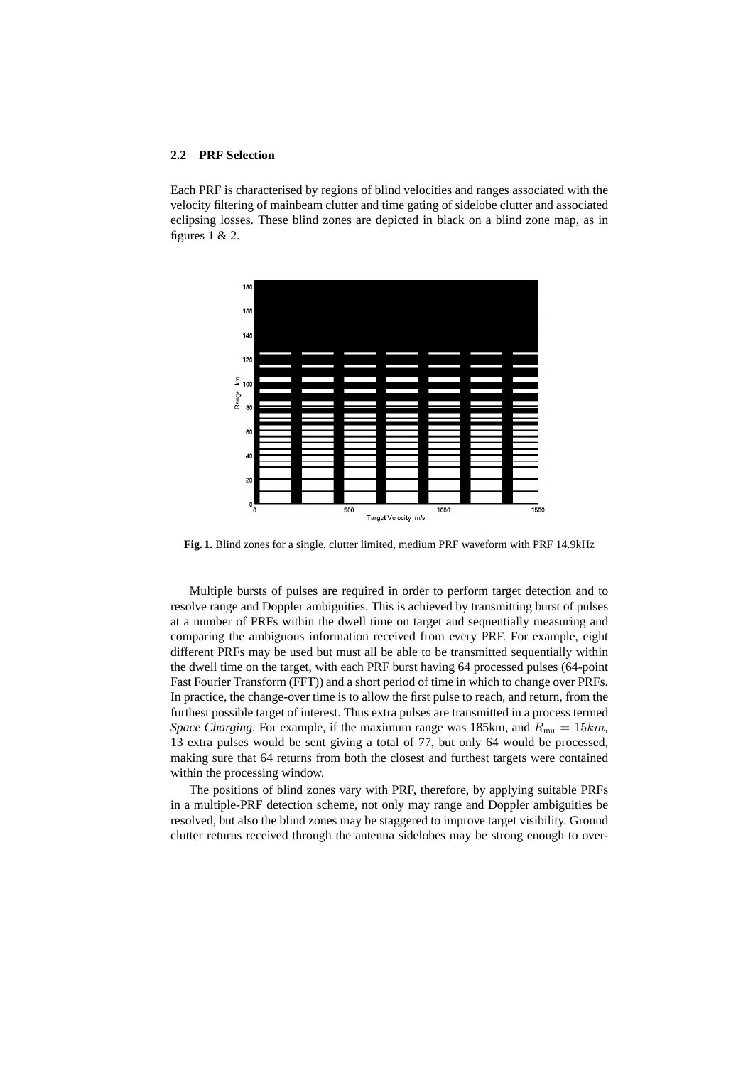#### **2.2 PRF Selection**

Each PRF is characterised by regions of blind velocities and ranges associated with the velocity filtering of mainbeam clutter and time gating of sidelobe clutter and associated eclipsing losses. These blind zones are depicted in black on a blind zone map, as in figures 1 & 2.



**Fig. 1.** Blind zones for a single, clutter limited, medium PRF waveform with PRF 14.9kHz

Multiple bursts of pulses are required in order to perform target detection and to resolve range and Doppler ambiguities. This is achieved by transmitting burst of pulses at a number of PRFs within the dwell time on target and sequentially measuring and comparing the ambiguous information received from every PRF. For example, eight different PRFs may be used but must all be able to be transmitted sequentially within the dwell time on the target, with each PRF burst having 64 processed pulses (64-point Fast Fourier Transform (FFT)) and a short period of time in which to change over PRFs. In practice, the change-over time is to allow the first pulse to reach, and return, from the furthest possible target of interest. Thus extra pulses are transmitted in a process termed *Space Charging*. For example, if the maximum range was 185km, and  $R_{mu} = 15km$ , 13 extra pulses would be sent giving a total of 77, but only 64 would be processed, making sure that 64 returns from both the closest and furthest targets were contained within the processing window.

The positions of blind zones vary with PRF, therefore, by applying suitable PRFs in a multiple-PRF detection scheme, not only may range and Doppler ambiguities be resolved, but also the blind zones may be staggered to improve target visibility. Ground clutter returns received through the antenna sidelobes may be strong enough to over-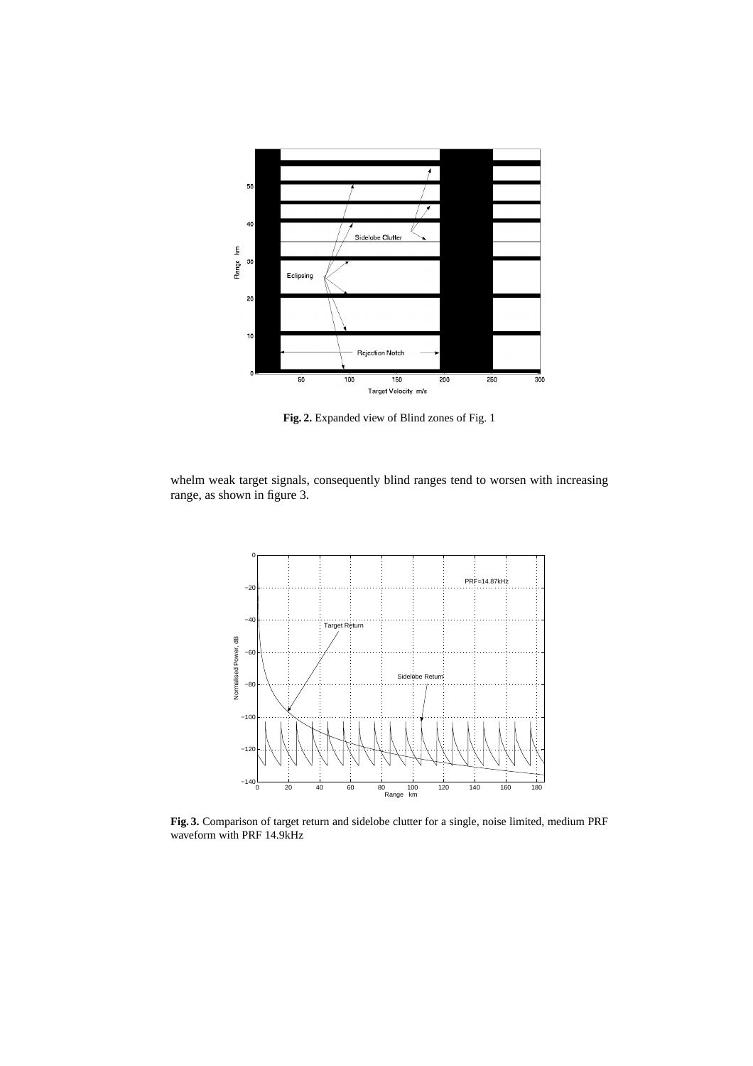

**Fig. 2.** Expanded view of Blind zones of Fig. 1

whelm weak target signals, consequently blind ranges tend to worsen with increasing range, as shown in figure 3.



**Fig. 3.** Comparison of target return and sidelobe clutter for a single, noise limited, medium PRF waveform with PRF 14.9kHz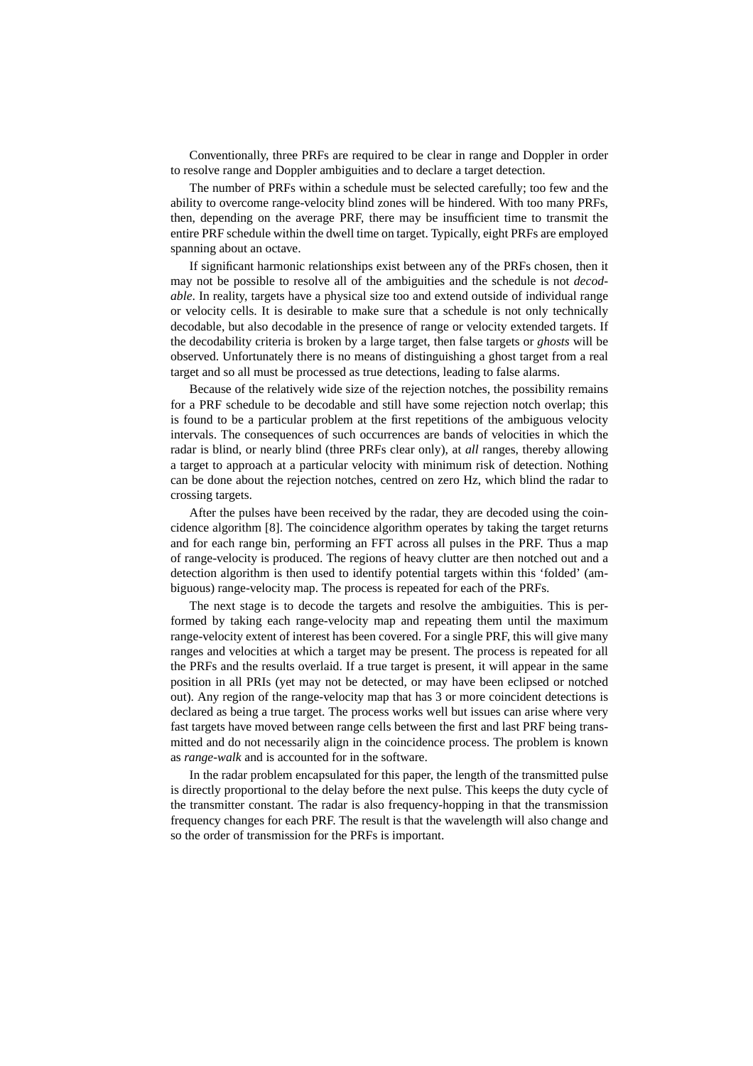Conventionally, three PRFs are required to be clear in range and Doppler in order to resolve range and Doppler ambiguities and to declare a target detection.

The number of PRFs within a schedule must be selected carefully; too few and the ability to overcome range-velocity blind zones will be hindered. With too many PRFs, then, depending on the average PRF, there may be insufficient time to transmit the entire PRF schedule within the dwell time on target. Typically, eight PRFs are employed spanning about an octave.

If significant harmonic relationships exist between any of the PRFs chosen, then it may not be possible to resolve all of the ambiguities and the schedule is not *decodable*. In reality, targets have a physical size too and extend outside of individual range or velocity cells. It is desirable to make sure that a schedule is not only technically decodable, but also decodable in the presence of range or velocity extended targets. If the decodability criteria is broken by a large target, then false targets or *ghosts* will be observed. Unfortunately there is no means of distinguishing a ghost target from a real target and so all must be processed as true detections, leading to false alarms.

Because of the relatively wide size of the rejection notches, the possibility remains for a PRF schedule to be decodable and still have some rejection notch overlap; this is found to be a particular problem at the first repetitions of the ambiguous velocity intervals. The consequences of such occurrences are bands of velocities in which the radar is blind, or nearly blind (three PRFs clear only), at *all* ranges, thereby allowing a target to approach at a particular velocity with minimum risk of detection. Nothing can be done about the rejection notches, centred on zero Hz, which blind the radar to crossing targets.

After the pulses have been received by the radar, they are decoded using the coincidence algorithm [8]. The coincidence algorithm operates by taking the target returns and for each range bin, performing an FFT across all pulses in the PRF. Thus a map of range-velocity is produced. The regions of heavy clutter are then notched out and a detection algorithm is then used to identify potential targets within this 'folded' (ambiguous) range-velocity map. The process is repeated for each of the PRFs.

The next stage is to decode the targets and resolve the ambiguities. This is performed by taking each range-velocity map and repeating them until the maximum range-velocity extent of interest has been covered. For a single PRF, this will give many ranges and velocities at which a target may be present. The process is repeated for all the PRFs and the results overlaid. If a true target is present, it will appear in the same position in all PRIs (yet may not be detected, or may have been eclipsed or notched out). Any region of the range-velocity map that has 3 or more coincident detections is declared as being a true target. The process works well but issues can arise where very fast targets have moved between range cells between the first and last PRF being transmitted and do not necessarily align in the coincidence process. The problem is known as *range-walk* and is accounted for in the software.

In the radar problem encapsulated for this paper, the length of the transmitted pulse is directly proportional to the delay before the next pulse. This keeps the duty cycle of the transmitter constant. The radar is also frequency-hopping in that the transmission frequency changes for each PRF. The result is that the wavelength will also change and so the order of transmission for the PRFs is important.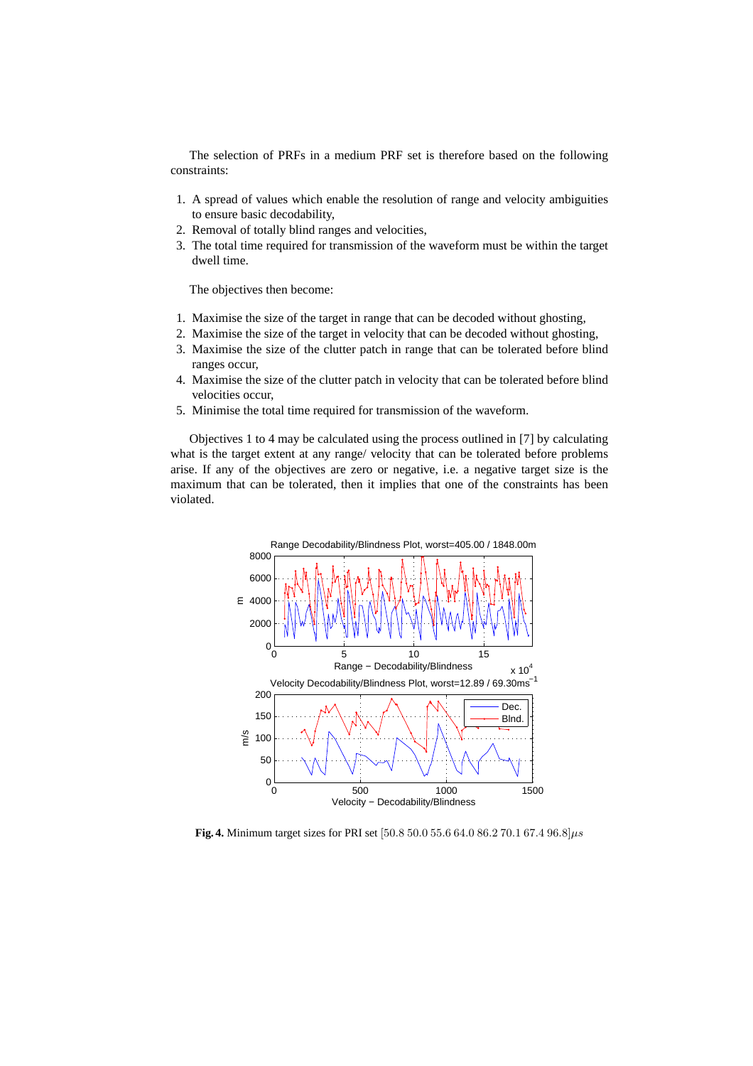The selection of PRFs in a medium PRF set is therefore based on the following constraints:

- 1. A spread of values which enable the resolution of range and velocity ambiguities to ensure basic decodability,
- 2. Removal of totally blind ranges and velocities,
- 3. The total time required for transmission of the waveform must be within the target dwell time.

The objectives then become:

- 1. Maximise the size of the target in range that can be decoded without ghosting,
- 2. Maximise the size of the target in velocity that can be decoded without ghosting,
- 3. Maximise the size of the clutter patch in range that can be tolerated before blind ranges occur,
- 4. Maximise the size of the clutter patch in velocity that can be tolerated before blind velocities occur,
- 5. Minimise the total time required for transmission of the waveform.

Objectives 1 to 4 may be calculated using the process outlined in [7] by calculating what is the target extent at any range/ velocity that can be tolerated before problems arise. If any of the objectives are zero or negative, i.e. a negative target size is the maximum that can be tolerated, then it implies that one of the constraints has been violated.



**Fig. 4.** Minimum target sizes for PRI set [50.8 50.0 55.6 64.0 86.2 70.1 67.4 96.8] $\mu$ s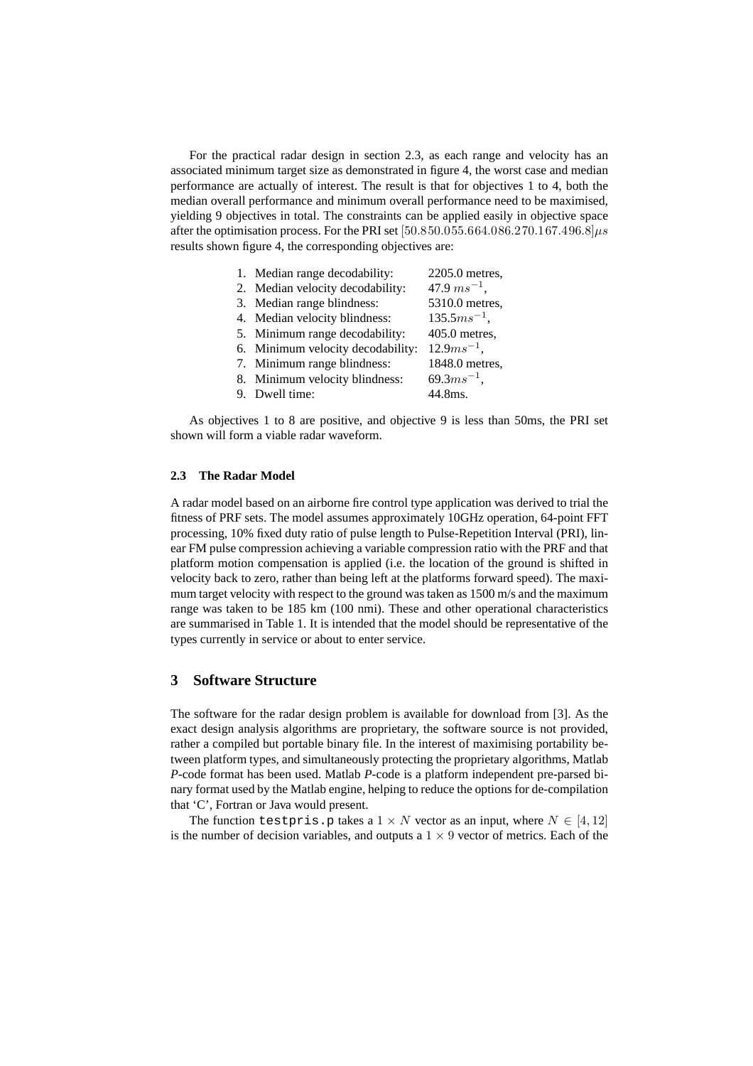For the practical radar design in section 2.3, as each range and velocity has an associated minimum target size as demonstrated in figure 4, the worst case and median performance are actually of interest. The result is that for objectives 1 to 4, both the median overall performance and minimum overall performance need to be maximised, yielding 9 objectives in total. The constraints can be applied easily in objective space after the optimisation process. For the PRI set [50.850.055.664.086.270.167.496.8] $\mu$ s results shown figure 4, the corresponding objectives are:

| 1. Median range decodability:     | 2205.0 metres,           |
|-----------------------------------|--------------------------|
| 2. Median velocity decodability:  | $47.9 \text{ ms}^{-1}$ , |
| 3. Median range blindness:        | 5310.0 metres,           |
| 4. Median velocity blindness:     | $135.5ms^{-1}$ ,         |
| 5. Minimum range decodability:    | $405.0$ metres,          |
| 6. Minimum velocity decodability: | $12.9ms^{-1}$ ,          |
| 7. Minimum range blindness:       | 1848.0 metres,           |
| 8. Minimum velocity blindness:    | $69.3ms^{-1}$ ,          |
| 9. Dwell time:                    | 44.8ms.                  |
|                                   |                          |

As objectives 1 to 8 are positive, and objective 9 is less than 50ms, the PRI set shown will form a viable radar waveform.

# **2.3 The Radar Model**

A radar model based on an airborne fire control type application was derived to trial the fitness of PRF sets. The model assumes approximately 10GHz operation, 64-point FFT processing, 10% fixed duty ratio of pulse length to Pulse-Repetition Interval (PRI), linear FM pulse compression achieving a variable compression ratio with the PRF and that platform motion compensation is applied (i.e. the location of the ground is shifted in velocity back to zero, rather than being left at the platforms forward speed). The maximum target velocity with respect to the ground was taken as 1500 m/s and the maximum range was taken to be 185 km (100 nmi). These and other operational characteristics are summarised in Table 1. It is intended that the model should be representative of the types currently in service or about to enter service.

# **3 Software Structure**

The software for the radar design problem is available for download from [3]. As the exact design analysis algorithms are proprietary, the software source is not provided, rather a compiled but portable binary file. In the interest of maximising portability between platform types, and simultaneously protecting the proprietary algorithms, Matlab *P*-code format has been used. Matlab *P*-code is a platform independent pre-parsed binary format used by the Matlab engine, helping to reduce the options for de-compilation that 'C', Fortran or Java would present.

The function test pris. p takes a  $1 \times N$  vector as an input, where  $N \in [4, 12]$ is the number of decision variables, and outputs a  $1 \times 9$  vector of metrics. Each of the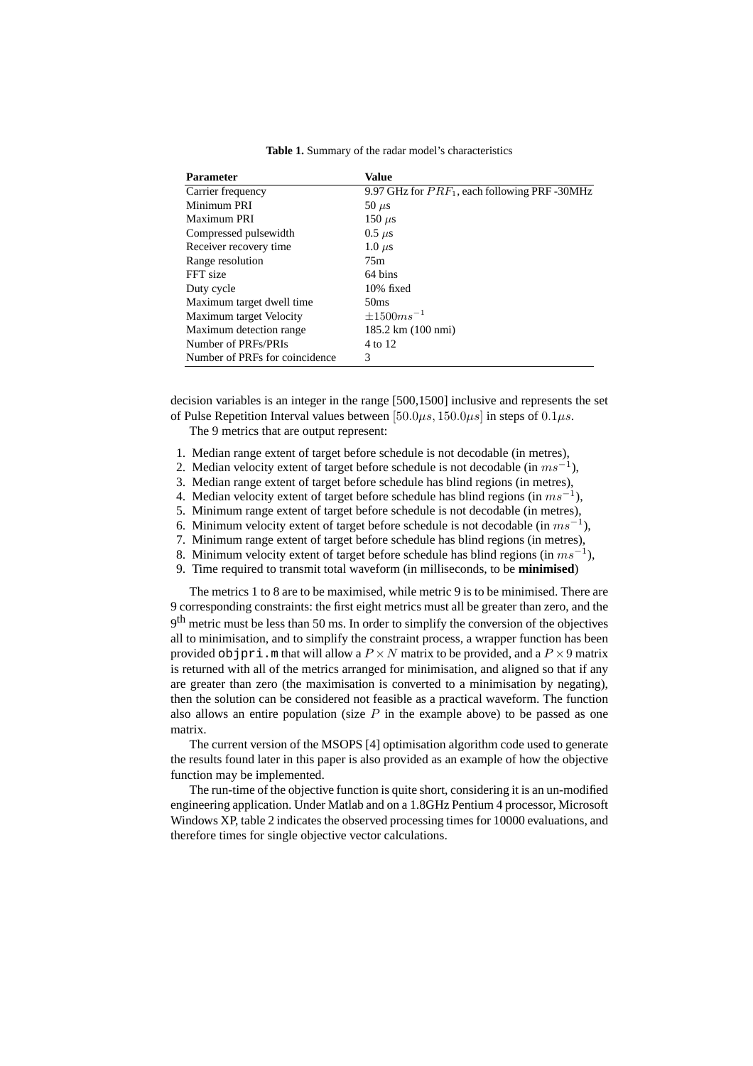| <b>Parameter</b>               | Value                                           |  |  |
|--------------------------------|-------------------------------------------------|--|--|
| Carrier frequency              | 9.97 GHz for $PRF_1$ , each following PRF-30MHz |  |  |
| Minimum PRI                    | 50 $\mu$ s                                      |  |  |
| Maximum PRI                    | 150 $\mu$ s                                     |  |  |
| Compressed pulsewidth          | $0.5 \mu s$                                     |  |  |
| Receiver recovery time         | $1.0 \ \mu s$                                   |  |  |
| Range resolution               | 75m                                             |  |  |
| FFT size                       | 64 bins                                         |  |  |
| Duty cycle                     | 10% fixed                                       |  |  |
| Maximum target dwell time.     | 50 <sub>ms</sub>                                |  |  |
| Maximum target Velocity        | $\pm 1500 ms^{-1}$                              |  |  |
| Maximum detection range.       | 185.2 km (100 nmi)                              |  |  |
| Number of PRFs/PRIs            | 4 to 12                                         |  |  |
| Number of PRFs for coincidence | 3                                               |  |  |

**Table 1.** Summary of the radar model's characteristics

decision variables is an integer in the range [500,1500] inclusive and represents the set of Pulse Repetition Interval values between [50.0 $\mu$ s, 150.0 $\mu$ s] in steps of 0.1 $\mu$ s.

The 9 metrics that are output represent:

- 1. Median range extent of target before schedule is not decodable (in metres),
- 2. Median velocity extent of target before schedule is not decodable (in  $ms^{-1}$ ),
- 3. Median range extent of target before schedule has blind regions (in metres),
- 4. Median velocity extent of target before schedule has blind regions (in  $ms^{-1}$ ),
- 5. Minimum range extent of target before schedule is not decodable (in metres),
- 6. Minimum velocity extent of target before schedule is not decodable (in  $ms^-$ ) ),
- 7. Minimum range extent of target before schedule has blind regions (in metres), 8. Minimum velocity extent of target before schedule has blind regions (in  $ms^{-1}$ ),
- 9. Time required to transmit total waveform (in milliseconds, to be **minimised**)
- 

The metrics 1 to 8 are to be maximised, while metric 9 is to be minimised. There are 9 corresponding constraints: the first eight metrics must all be greater than zero, and the 9<sup>th</sup> metric must be less than 50 ms. In order to simplify the conversion of the objectives all to minimisation, and to simplify the constraint process, a wrapper function has been provided objpri.m that will allow a  $P \times N$  matrix to be provided, and a  $P \times 9$  matrix is returned with all of the metrics arranged for minimisation, and aligned so that if any are greater than zero (the maximisation is converted to a minimisation by negating), then the solution can be considered not feasible as a practical waveform. The function also allows an entire population (size  $P$  in the example above) to be passed as one matrix.

The current version of the MSOPS [4] optimisation algorithm code used to generate the results found later in this paper is also provided as an example of how the objective function may be implemented.

The run-time of the objective function is quite short, considering it is an un-modified engineering application. Under Matlab and on a 1.8GHz Pentium 4 processor, Microsoft Windows XP, table 2 indicates the observed processing times for 10000 evaluations, and therefore times for single objective vector calculations.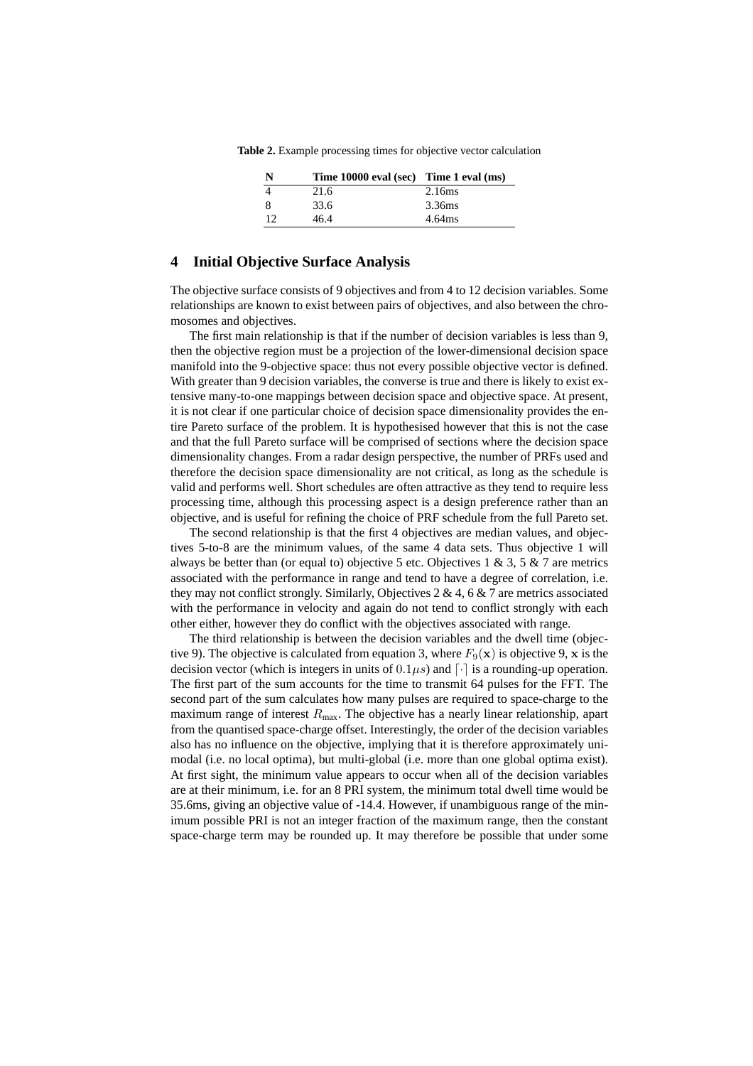**Table 2.** Example processing times for objective vector calculation

| N  | Time 10000 eval (sec) Time 1 eval (ms) |        |
|----|----------------------------------------|--------|
|    | 21.6                                   | 2.16ms |
| 8  | 33.6                                   | 3.36ms |
| 12 | 46.4                                   | 4.64ms |

#### **4 Initial Objective Surface Analysis**

The objective surface consists of 9 objectives and from 4 to 12 decision variables. Some relationships are known to exist between pairs of objectives, and also between the chromosomes and objectives.

The first main relationship is that if the number of decision variables is less than 9, then the objective region must be a projection of the lower-dimensional decision space manifold into the 9-objective space: thus not every possible objective vector is defined. With greater than 9 decision variables, the converse is true and there is likely to exist extensive many-to-one mappings between decision space and objective space. At present, it is not clear if one particular choice of decision space dimensionality provides the entire Pareto surface of the problem. It is hypothesised however that this is not the case and that the full Pareto surface will be comprised of sections where the decision space dimensionality changes. From a radar design perspective, the number of PRFs used and therefore the decision space dimensionality are not critical, as long as the schedule is valid and performs well. Short schedules are often attractive as they tend to require less processing time, although this processing aspect is a design preference rather than an objective, and is useful for refining the choice of PRF schedule from the full Pareto set.

The second relationship is that the first 4 objectives are median values, and objectives 5-to-8 are the minimum values, of the same 4 data sets. Thus objective 1 will always be better than (or equal to) objective 5 etc. Objectives 1 & 3, 5 & 7 are metrics associated with the performance in range and tend to have a degree of correlation, i.e. they may not conflict strongly. Similarly, Objectives  $2 \& 4, 6 \& 7$  are metrics associated with the performance in velocity and again do not tend to conflict strongly with each other either, however they do conflict with the objectives associated with range.

The third relationship is between the decision variables and the dwell time (objective 9). The objective is calculated from equation 3, where  $F_9(\mathbf{x})$  is objective 9, x is the decision vector (which is integers in units of  $0.1\mu s$ ) and  $\lceil \cdot \rceil$  is a rounding-up operation. The first part of the sum accounts for the time to transmit 64 pulses for the FFT. The second part of the sum calculates how many pulses are required to space-charge to the maximum range of interest  $R_{\text{max}}$ . The objective has a nearly linear relationship, apart from the quantised space-charge offset. Interestingly, the order of the decision variables also has no influence on the objective, implying that it is therefore approximately unimodal (i.e. no local optima), but multi-global (i.e. more than one global optima exist). At first sight, the minimum value appears to occur when all of the decision variables are at their minimum, i.e. for an 8 PRI system, the minimum total dwell time would be 35.6ms, giving an objective value of -14.4. However, if unambiguous range of the minimum possible PRI is not an integer fraction of the maximum range, then the constant space-charge term may be rounded up. It may therefore be possible that under some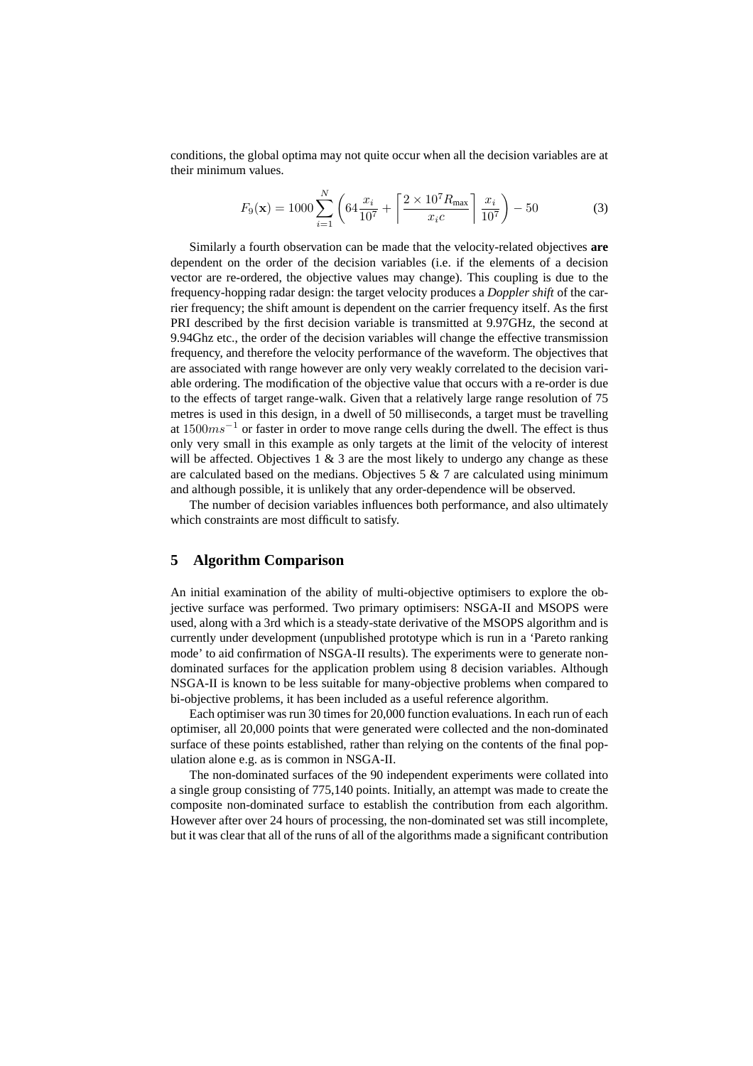conditions, the global optima may not quite occur when all the decision variables are at their minimum values.

$$
F_9(\mathbf{x}) = 1000 \sum_{i=1}^{N} \left( 64 \frac{x_i}{10^7} + \left\lceil \frac{2 \times 10^7 R_{\text{max}}}{x_i c} \right\rceil \frac{x_i}{10^7} \right) - 50 \tag{3}
$$

Similarly a fourth observation can be made that the velocity-related objectives **are** dependent on the order of the decision variables (i.e. if the elements of a decision vector are re-ordered, the objective values may change). This coupling is due to the frequency-hopping radar design: the target velocity produces a *Doppler shift* of the carrier frequency; the shift amount is dependent on the carrier frequency itself. As the first PRI described by the first decision variable is transmitted at 9.97GHz, the second at 9.94Ghz etc., the order of the decision variables will change the effective transmission frequency, and therefore the velocity performance of the waveform. The objectives that are associated with range however are only very weakly correlated to the decision variable ordering. The modification of the objective value that occurs with a re-order is due to the effects of target range-walk. Given that a relatively large range resolution of 75 metres is used in this design, in a dwell of 50 milliseconds, a target must be travelling at  $1500ms<sup>-1</sup>$  or faster in order to move range cells during the dwell. The effect is thus only very small in this example as only targets at the limit of the velocity of interest will be affected. Objectives  $1 \& 3$  are the most likely to undergo any change as these are calculated based on the medians. Objectives  $5 \& 7$  are calculated using minimum and although possible, it is unlikely that any order-dependence will be observed.

The number of decision variables influences both performance, and also ultimately which constraints are most difficult to satisfy.

## **5 Algorithm Comparison**

An initial examination of the ability of multi-objective optimisers to explore the objective surface was performed. Two primary optimisers: NSGA-II and MSOPS were used, along with a 3rd which is a steady-state derivative of the MSOPS algorithm and is currently under development (unpublished prototype which is run in a 'Pareto ranking mode' to aid confirmation of NSGA-II results). The experiments were to generate nondominated surfaces for the application problem using 8 decision variables. Although NSGA-II is known to be less suitable for many-objective problems when compared to bi-objective problems, it has been included as a useful reference algorithm.

Each optimiser was run 30 times for 20,000 function evaluations. In each run of each optimiser, all 20,000 points that were generated were collected and the non-dominated surface of these points established, rather than relying on the contents of the final population alone e.g. as is common in NSGA-II.

The non-dominated surfaces of the 90 independent experiments were collated into a single group consisting of 775,140 points. Initially, an attempt was made to create the composite non-dominated surface to establish the contribution from each algorithm. However after over 24 hours of processing, the non-dominated set was still incomplete, but it was clear that all of the runs of all of the algorithms made a significant contribution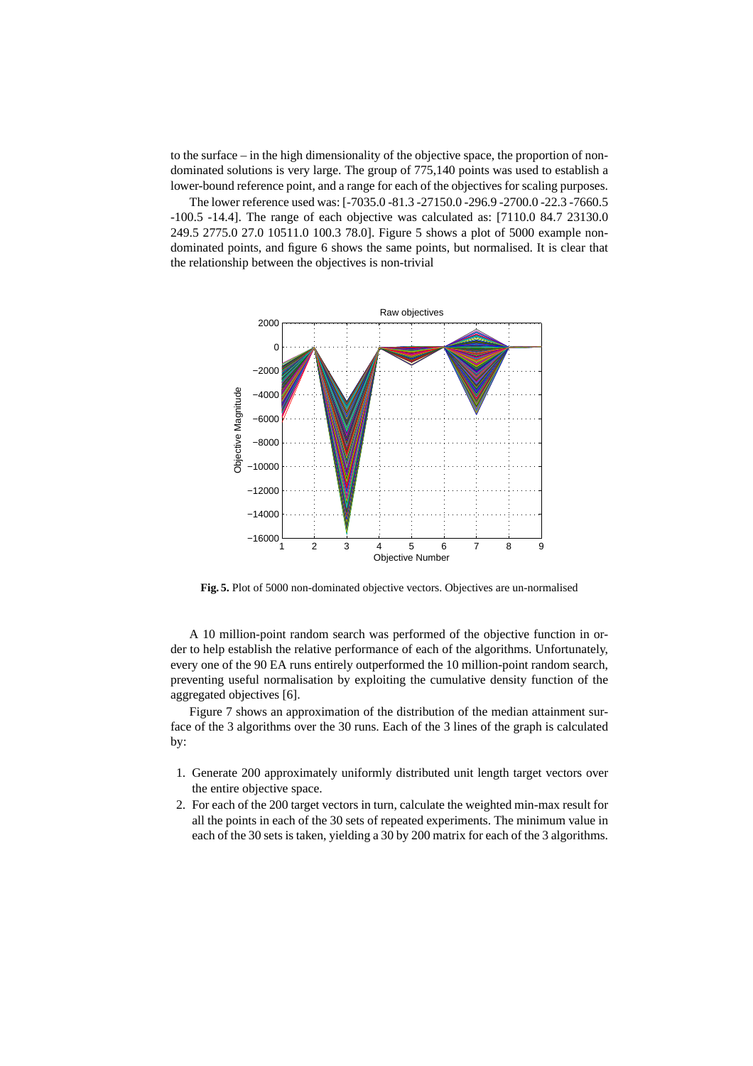to the surface – in the high dimensionality of the objective space, the proportion of nondominated solutions is very large. The group of 775,140 points was used to establish a lower-bound reference point, and a range for each of the objectives for scaling purposes.

The lower reference used was: [-7035.0 -81.3 -27150.0 -296.9 -2700.0 -22.3 -7660.5 -100.5 -14.4]. The range of each objective was calculated as: [7110.0 84.7 23130.0 249.5 2775.0 27.0 10511.0 100.3 78.0]. Figure 5 shows a plot of 5000 example nondominated points, and figure 6 shows the same points, but normalised. It is clear that the relationship between the objectives is non-trivial



**Fig. 5.** Plot of 5000 non-dominated objective vectors. Objectives are un-normalised

A 10 million-point random search was performed of the objective function in order to help establish the relative performance of each of the algorithms. Unfortunately, every one of the 90 EA runs entirely outperformed the 10 million-point random search, preventing useful normalisation by exploiting the cumulative density function of the aggregated objectives [6].

Figure 7 shows an approximation of the distribution of the median attainment surface of the 3 algorithms over the 30 runs. Each of the 3 lines of the graph is calculated by:

- 1. Generate 200 approximately uniformly distributed unit length target vectors over the entire objective space.
- 2. For each of the 200 target vectors in turn, calculate the weighted min-max result for all the points in each of the 30 sets of repeated experiments. The minimum value in each of the 30 sets is taken, yielding a 30 by 200 matrix for each of the 3 algorithms.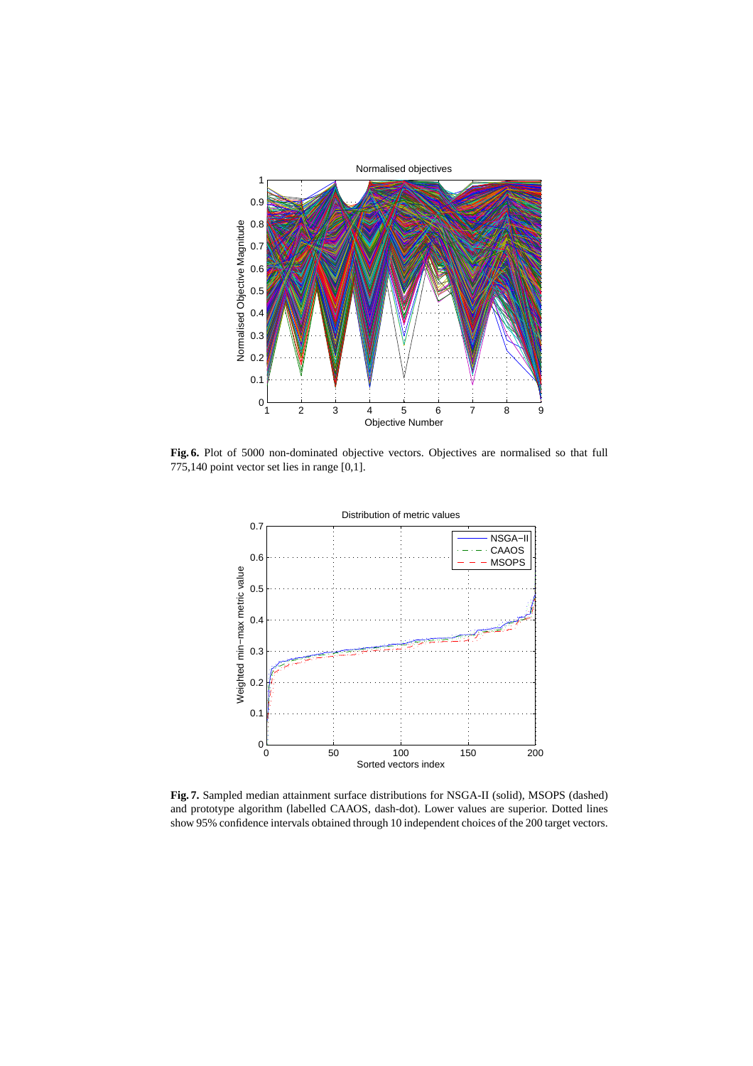

Fig. 6. Plot of 5000 non-dominated objective vectors. Objectives are normalised so that full 775,140 point vector set lies in range [0,1].



**Fig. 7.** Sampled median attainment surface distributions for NSGA-II (solid), MSOPS (dashed) and prototype algorithm (labelled CAAOS, dash-dot). Lower values are superior. Dotted lines show 95% confidence intervals obtained through 10 independent choices of the 200 target vectors.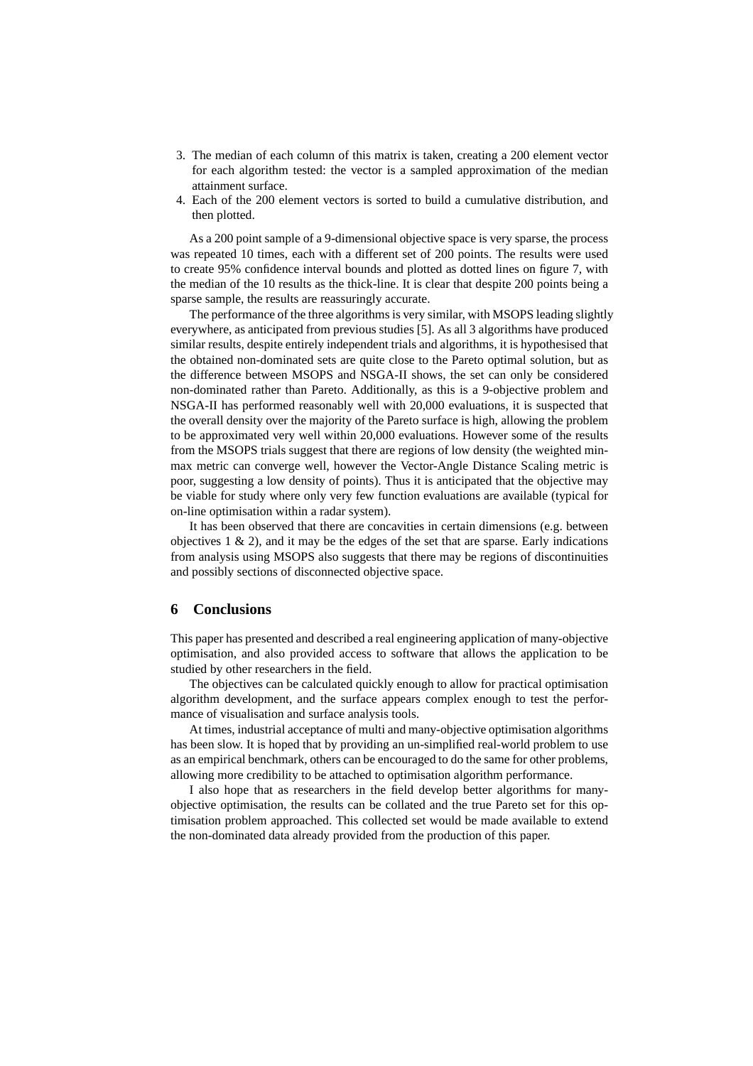- 3. The median of each column of this matrix is taken, creating a 200 element vector for each algorithm tested: the vector is a sampled approximation of the median attainment surface.
- 4. Each of the 200 element vectors is sorted to build a cumulative distribution, and then plotted.

As a 200 point sample of a 9-dimensional objective space is very sparse, the process was repeated 10 times, each with a different set of 200 points. The results were used to create 95% confidence interval bounds and plotted as dotted lines on figure 7, with the median of the 10 results as the thick-line. It is clear that despite 200 points being a sparse sample, the results are reassuringly accurate.

The performance of the three algorithms is very similar, with MSOPS leading slightly everywhere, as anticipated from previous studies [5]. As all 3 algorithms have produced similar results, despite entirely independent trials and algorithms, it is hypothesised that the obtained non-dominated sets are quite close to the Pareto optimal solution, but as the difference between MSOPS and NSGA-II shows, the set can only be considered non-dominated rather than Pareto. Additionally, as this is a 9-objective problem and NSGA-II has performed reasonably well with 20,000 evaluations, it is suspected that the overall density over the majority of the Pareto surface is high, allowing the problem to be approximated very well within 20,000 evaluations. However some of the results from the MSOPS trials suggest that there are regions of low density (the weighted minmax metric can converge well, however the Vector-Angle Distance Scaling metric is poor, suggesting a low density of points). Thus it is anticipated that the objective may be viable for study where only very few function evaluations are available (typical for on-line optimisation within a radar system).

It has been observed that there are concavities in certain dimensions (e.g. between objectives  $1 \& 2$ ), and it may be the edges of the set that are sparse. Early indications from analysis using MSOPS also suggests that there may be regions of discontinuities and possibly sections of disconnected objective space.

## **6 Conclusions**

This paper has presented and described a real engineering application of many-objective optimisation, and also provided access to software that allows the application to be studied by other researchers in the field.

The objectives can be calculated quickly enough to allow for practical optimisation algorithm development, and the surface appears complex enough to test the performance of visualisation and surface analysis tools.

At times, industrial acceptance of multi and many-objective optimisation algorithms has been slow. It is hoped that by providing an un-simplified real-world problem to use as an empirical benchmark, others can be encouraged to do the same for other problems, allowing more credibility to be attached to optimisation algorithm performance.

I also hope that as researchers in the field develop better algorithms for manyobjective optimisation, the results can be collated and the true Pareto set for this optimisation problem approached. This collected set would be made available to extend the non-dominated data already provided from the production of this paper.